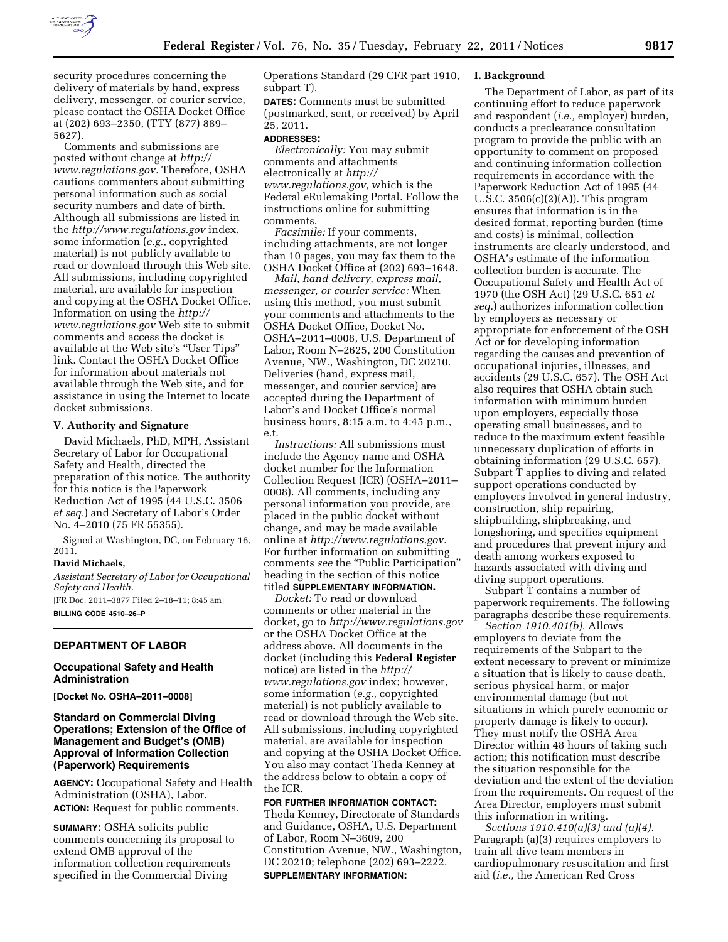

security procedures concerning the delivery of materials by hand, express delivery, messenger, or courier service, please contact the OSHA Docket Office at (202) 693–2350, (TTY (877) 889– 5627).

Comments and submissions are posted without change at *[http://](http://www.regulations.gov)  [www.regulations.gov.](http://www.regulations.gov)* Therefore, OSHA cautions commenters about submitting personal information such as social security numbers and date of birth. Although all submissions are listed in the *<http://www.regulations.gov>*index, some information (*e.g.,* copyrighted material) is not publicly available to read or download through this Web site. All submissions, including copyrighted material, are available for inspection and copying at the OSHA Docket Office. Information on using the *[http://](http://www.regulations.gov) [www.regulations.gov](http://www.regulations.gov)* Web site to submit comments and access the docket is available at the Web site's ''User Tips'' link. Contact the OSHA Docket Office for information about materials not available through the Web site, and for assistance in using the Internet to locate docket submissions.

#### **V. Authority and Signature**

David Michaels, PhD, MPH, Assistant Secretary of Labor for Occupational Safety and Health, directed the preparation of this notice. The authority for this notice is the Paperwork Reduction Act of 1995 (44 U.S.C. 3506 *et seq.*) and Secretary of Labor's Order No. 4–2010 (75 FR 55355).

Signed at Washington, DC, on February 16, 2011.

#### **David Michaels,**

*Assistant Secretary of Labor for Occupational Safety and Health.* 

[FR Doc. 2011–3877 Filed 2–18–11; 8:45 am] **BILLING CODE 4510–26–P** 

# **DEPARTMENT OF LABOR**

## **Occupational Safety and Health Administration**

**[Docket No. OSHA–2011–0008]** 

# **Standard on Commercial Diving Operations; Extension of the Office of Management and Budget's (OMB) Approval of Information Collection (Paperwork) Requirements**

**AGENCY:** Occupational Safety and Health Administration (OSHA), Labor. **ACTION:** Request for public comments.

**SUMMARY:** OSHA solicits public comments concerning its proposal to extend OMB approval of the information collection requirements specified in the Commercial Diving

Operations Standard (29 CFR part 1910, subpart T).

**DATES:** Comments must be submitted (postmarked, sent, or received) by April 25, 2011.

#### **ADDRESSES:**

*Electronically:* You may submit comments and attachments electronically at *[http://](http://www.regulations.gov) [www.regulations.gov,](http://www.regulations.gov)* which is the Federal eRulemaking Portal. Follow the instructions online for submitting comments.

*Facsimile:* If your comments, including attachments, are not longer than 10 pages, you may fax them to the OSHA Docket Office at (202) 693–1648.

*Mail, hand delivery, express mail, messenger, or courier service:* When using this method, you must submit your comments and attachments to the OSHA Docket Office, Docket No. OSHA–2011–0008, U.S. Department of Labor, Room N–2625, 200 Constitution Avenue, NW., Washington, DC 20210. Deliveries (hand, express mail, messenger, and courier service) are accepted during the Department of Labor's and Docket Office's normal business hours, 8:15 a.m. to 4:45 p.m., e.t.

*Instructions:* All submissions must include the Agency name and OSHA docket number for the Information Collection Request (ICR) (OSHA–2011– 0008). All comments, including any personal information you provide, are placed in the public docket without change, and may be made available online at *[http://www.regulations.gov.](http://www.regulations.gov)*  For further information on submitting comments see the "Public Participation" heading in the section of this notice titled **SUPPLEMENTARY INFORMATION.** 

*Docket:* To read or download comments or other material in the docket, go to *<http://www.regulations.gov>*  or the OSHA Docket Office at the address above. All documents in the docket (including this **Federal Register**  notice) are listed in the *[http://](http://www.regulations.gov) [www.regulations.gov](http://www.regulations.gov)* index; however, some information (*e.g.,* copyrighted material) is not publicly available to read or download through the Web site. All submissions, including copyrighted material, are available for inspection and copying at the OSHA Docket Office. You also may contact Theda Kenney at the address below to obtain a copy of the ICR.

**FOR FURTHER INFORMATION CONTACT:**  Theda Kenney, Directorate of Standards and Guidance, OSHA, U.S. Department of Labor, Room N–3609, 200 Constitution Avenue, NW., Washington, DC 20210; telephone (202) 693–2222. **SUPPLEMENTARY INFORMATION:** 

## **I. Background**

The Department of Labor, as part of its continuing effort to reduce paperwork and respondent (*i.e.,* employer) burden, conducts a preclearance consultation program to provide the public with an opportunity to comment on proposed and continuing information collection requirements in accordance with the Paperwork Reduction Act of 1995 (44 U.S.C.  $3506(c)(2)(A)$ . This program ensures that information is in the desired format, reporting burden (time and costs) is minimal, collection instruments are clearly understood, and OSHA's estimate of the information collection burden is accurate. The Occupational Safety and Health Act of 1970 (the OSH Act) (29 U.S.C. 651 *et seq.*) authorizes information collection by employers as necessary or appropriate for enforcement of the OSH Act or for developing information regarding the causes and prevention of occupational injuries, illnesses, and accidents (29 U.S.C. 657). The OSH Act also requires that OSHA obtain such information with minimum burden upon employers, especially those operating small businesses, and to reduce to the maximum extent feasible unnecessary duplication of efforts in obtaining information (29 U.S.C. 657). Subpart T applies to diving and related support operations conducted by employers involved in general industry, construction, ship repairing, shipbuilding, shipbreaking, and longshoring, and specifies equipment and procedures that prevent injury and death among workers exposed to hazards associated with diving and diving support operations.

Subpart T contains a number of paperwork requirements. The following paragraphs describe these requirements.

*Section 1910.401(b).* Allows employers to deviate from the requirements of the Subpart to the extent necessary to prevent or minimize a situation that is likely to cause death, serious physical harm, or major environmental damage (but not situations in which purely economic or property damage is likely to occur). They must notify the OSHA Area Director within 48 hours of taking such action; this notification must describe the situation responsible for the deviation and the extent of the deviation from the requirements. On request of the Area Director, employers must submit this information in writing.

*Sections 1910.410(a)(3) and (a)(4).*  Paragraph (a)(3) requires employers to train all dive team members in cardiopulmonary resuscitation and first aid (*i.e.,* the American Red Cross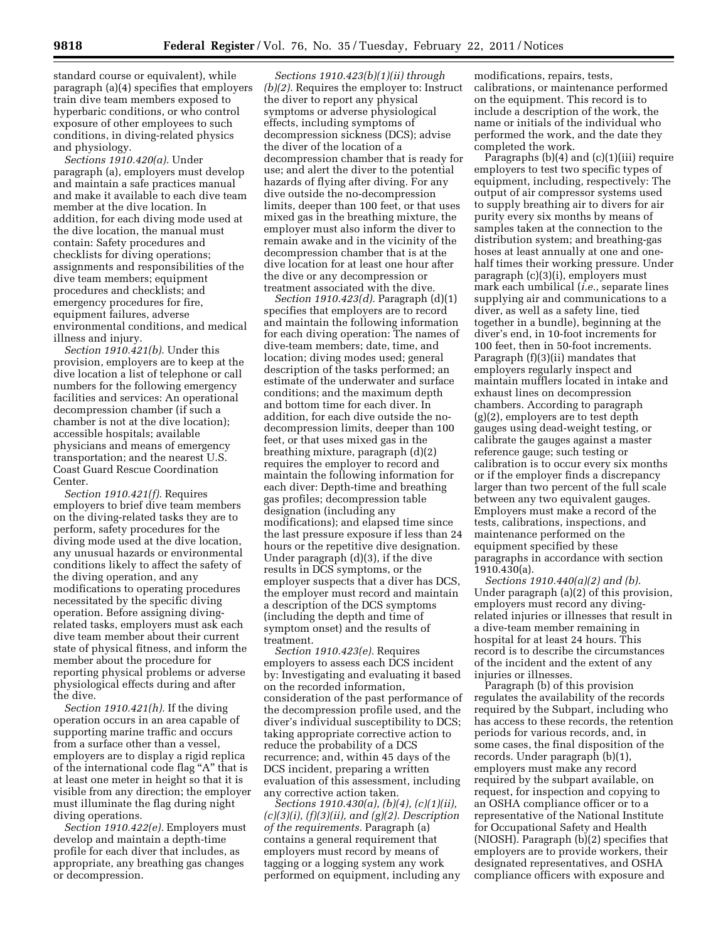standard course or equivalent), while paragraph (a)(4) specifies that employers train dive team members exposed to hyperbaric conditions, or who control exposure of other employees to such conditions, in diving-related physics and physiology.

*Sections 1910.420(a).* Under paragraph (a), employers must develop and maintain a safe practices manual and make it available to each dive team member at the dive location. In addition, for each diving mode used at the dive location, the manual must contain: Safety procedures and checklists for diving operations; assignments and responsibilities of the dive team members; equipment procedures and checklists; and emergency procedures for fire, equipment failures, adverse environmental conditions, and medical illness and injury.

*Section 1910.421(b).* Under this provision, employers are to keep at the dive location a list of telephone or call numbers for the following emergency facilities and services: An operational decompression chamber (if such a chamber is not at the dive location); accessible hospitals; available physicians and means of emergency transportation; and the nearest U.S. Coast Guard Rescue Coordination Center.

*Section 1910.421(f).* Requires employers to brief dive team members on the diving-related tasks they are to perform, safety procedures for the diving mode used at the dive location, any unusual hazards or environmental conditions likely to affect the safety of the diving operation, and any modifications to operating procedures necessitated by the specific diving operation. Before assigning divingrelated tasks, employers must ask each dive team member about their current state of physical fitness, and inform the member about the procedure for reporting physical problems or adverse physiological effects during and after the dive.

*Section 1910.421(h).* If the diving operation occurs in an area capable of supporting marine traffic and occurs from a surface other than a vessel, employers are to display a rigid replica of the international code flag ''A'' that is at least one meter in height so that it is visible from any direction; the employer must illuminate the flag during night diving operations.

*Section 1910.422(e).* Employers must develop and maintain a depth-time profile for each diver that includes, as appropriate, any breathing gas changes or decompression.

*Sections 1910.423(b)(1)(ii) through (b)(2).* Requires the employer to: Instruct the diver to report any physical symptoms or adverse physiological effects, including symptoms of decompression sickness (DCS); advise the diver of the location of a decompression chamber that is ready for use; and alert the diver to the potential hazards of flying after diving. For any dive outside the no-decompression limits, deeper than 100 feet, or that uses mixed gas in the breathing mixture, the employer must also inform the diver to remain awake and in the vicinity of the decompression chamber that is at the dive location for at least one hour after the dive or any decompression or treatment associated with the dive.

*Section 1910.423(d).* Paragraph (d)(1) specifies that employers are to record and maintain the following information for each diving operation: The names of dive-team members; date, time, and location; diving modes used; general description of the tasks performed; an estimate of the underwater and surface conditions; and the maximum depth and bottom time for each diver. In addition, for each dive outside the nodecompression limits, deeper than 100 feet, or that uses mixed gas in the breathing mixture, paragraph (d)(2) requires the employer to record and maintain the following information for each diver: Depth-time and breathing gas profiles; decompression table designation (including any modifications); and elapsed time since the last pressure exposure if less than 24 hours or the repetitive dive designation. Under paragraph (d)(3), if the dive results in DCS symptoms, or the employer suspects that a diver has DCS, the employer must record and maintain a description of the DCS symptoms (including the depth and time of symptom onset) and the results of treatment.

*Section 1910.423(e).* Requires employers to assess each DCS incident by: Investigating and evaluating it based on the recorded information, consideration of the past performance of the decompression profile used, and the diver's individual susceptibility to DCS; taking appropriate corrective action to reduce the probability of a DCS recurrence; and, within 45 days of the DCS incident, preparing a written evaluation of this assessment, including any corrective action taken.

*Sections 1910.430(a), (b)(4), (c)(1)(ii), (c)(3)(i), (f)(3)(ii), and (g)(2). Description of the requirements.* Paragraph (a) contains a general requirement that employers must record by means of tagging or a logging system any work performed on equipment, including any

modifications, repairs, tests, calibrations, or maintenance performed on the equipment. This record is to include a description of the work, the name or initials of the individual who performed the work, and the date they completed the work.

Paragraphs (b)(4) and (c)(1)(iii) require employers to test two specific types of equipment, including, respectively: The output of air compressor systems used to supply breathing air to divers for air purity every six months by means of samples taken at the connection to the distribution system; and breathing-gas hoses at least annually at one and onehalf times their working pressure. Under paragraph (c)(3)(i), employers must mark each umbilical (*i.e.,* separate lines supplying air and communications to a diver, as well as a safety line, tied together in a bundle), beginning at the diver's end, in 10-foot increments for 100 feet, then in 50-foot increments. Paragraph (f)(3)(ii) mandates that employers regularly inspect and maintain mufflers located in intake and exhaust lines on decompression chambers. According to paragraph (g)(2), employers are to test depth gauges using dead-weight testing, or calibrate the gauges against a master reference gauge; such testing or calibration is to occur every six months or if the employer finds a discrepancy larger than two percent of the full scale between any two equivalent gauges. Employers must make a record of the tests, calibrations, inspections, and maintenance performed on the equipment specified by these paragraphs in accordance with section 1910.430(a).

*Sections 1910.440(a)(2) and (b).*  Under paragraph (a)(2) of this provision, employers must record any divingrelated injuries or illnesses that result in a dive-team member remaining in hospital for at least 24 hours. This record is to describe the circumstances of the incident and the extent of any injuries or illnesses.

Paragraph (b) of this provision regulates the availability of the records required by the Subpart, including who has access to these records, the retention periods for various records, and, in some cases, the final disposition of the records. Under paragraph (b)(1), employers must make any record required by the subpart available, on request, for inspection and copying to an OSHA compliance officer or to a representative of the National Institute for Occupational Safety and Health (NIOSH). Paragraph (b)(2) specifies that employers are to provide workers, their designated representatives, and OSHA compliance officers with exposure and